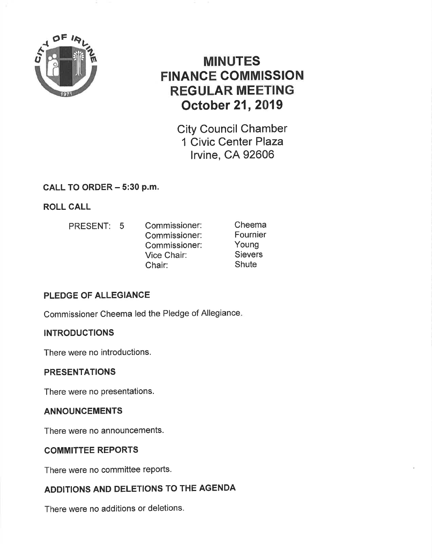

# MINUTES FINANGE COMMISSION REGULAR MEETING October 21,2019

City Council Chamber 1 Civic Center Plaza lrvine, CA 92606

# CALL TO ORDER - 5:30 p.m.

ROLL CALL

PRESENT: 5 Commissioner: Commissioner: Commissioner: Vice Chair: Chair: Cheema Fournier Young **Sievers Shute** 

# PLEDGE OF ALLEGIANCE

Commissioner Cheema led the Pledge of Allegiance

# **INTRODUCTIONS**

There were no introductions.

### PRESENTATIONS

There were no presentations.

### ANNOUNCEMENTS

There were no announcements.

### COMMITTEE REPORTS

There were no committee reports.

# ADDITIONS AND DELETIONS TO THE AGENDA

There were no additions or deletions.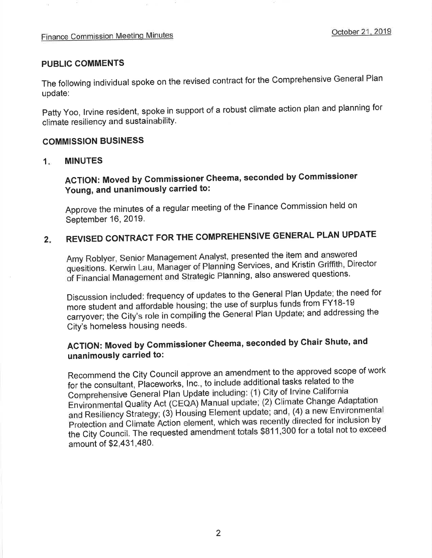#### **PUBLIC COMMENTS**

The following individual spoke on the revised contract for the Comprehensive General Plan update:

Patty Yoo, Irvine resident, spoke in support of a robust climate action plan and planning for climate resiliency and sustainability.

#### **COMMISSION BUSINESS**

#### **MINUTES**  $1<sub>1</sub>$

# **ACTION: Moved by Commissioner Cheema, seconded by Commissioner** Young, and unanimously carried to:

Approve the minutes of a regular meeting of the Finance Commission held on September 16, 2019.

#### REVISED CONTRACT FOR THE COMPREHENSIVE GENERAL PLAN UPDATE  $2.$

Amy Roblyer, Senior Management Analyst, presented the item and answered quesitions. Kerwin Lau, Manager of Planning Services, and Kristin Griffith, Director of Financial Management and Strategic Planning, also answered questions.

Discussion included: frequency of updates to the General Plan Update; the need for more student and affordable housing; the use of surplus funds from FY18-19 carryover; the City's role in compiling the General Plan Update; and addressing the City's homeless housing needs.

# ACTION: Moved by Commissioner Cheema, seconded by Chair Shute, and unanimously carried to:

Recommend the City Council approve an amendment to the approved scope of work for the consultant, Placeworks, Inc., to include additional tasks related to the Comprehensive General Plan Update including: (1) City of Irvine California Environmental Quality Act (CEQA) Manual update; (2) Climate Change Adaptation and Resiliency Strategy; (3) Housing Element update; and, (4) a new Environmental Protection and Climate Action element, which was recently directed for inclusion by the City Council. The requested amendment totals \$811,300 for a total not to exceed amount of \$2,431,480.